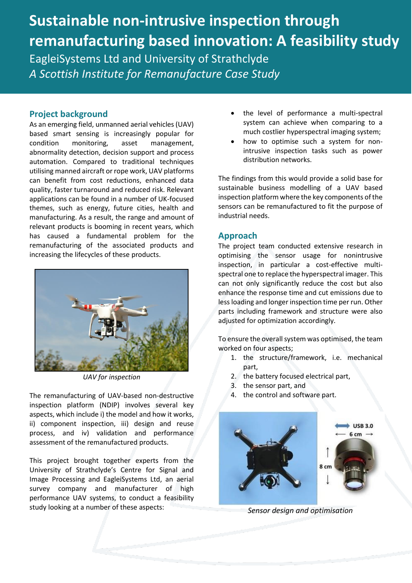# **Sustainable non-intrusive inspection through remanufacturing based innovation: A feasibility study** EagleiSystems Ltd and University of Strathclyde *A Scottish Institute for Remanufacture Case Study*

#### **Project background**

As an emerging field, unmanned aerial vehicles (UAV) based smart sensing is increasingly popular for condition monitoring, asset management, abnormality detection, decision support and process automation. Compared to traditional techniques utilising manned aircraft or rope work, UAV platforms can benefit from cost reductions, enhanced data quality, faster turnaround and reduced risk. Relevant applications can be found in a number of UK-focused themes, such as energy, future cities, health and manufacturing. As a result, the range and amount of relevant products is booming in recent years, which has caused a fundamental problem for the remanufacturing of the associated products and increasing the lifecycles of these products.



*UAV for inspection*

The remanufacturing of UAV-based non-destructive inspection platform (NDIP) involves several key aspects, which include i) the model and how it works, ii) component inspection, iii) design and reuse process, and iv) validation and performance assessment of the remanufactured products.

This project brought together experts from the University of Strathclyde's Centre for Signal and Image Processing and EagleiSystems Ltd, an aerial survey company and manufacturer of high performance UAV systems, to conduct a feasibility study looking at a number of these aspects:

- the level of performance a multi-spectral system can achieve when comparing to a much costlier hyperspectral imaging system;
- how to optimise such a system for nonintrusive inspection tasks such as power distribution networks.

The findings from this would provide a solid base for sustainable business modelling of a UAV based inspection platform where the key components of the sensors can be remanufactured to fit the purpose of industrial needs.

### **Approach**

The project team conducted extensive research in optimising the sensor usage for nonintrusive inspection, in particular a cost-effective multispectral one to replace the hyperspectral imager. This can not only significantly reduce the cost but also enhance the response time and cut emissions due to less loading and longer inspection time per run. Other parts including framework and structure were also adjusted for optimization accordingly.

To ensure the overall system was optimised, the team worked on four aspects;

- 1. the structure/framework, i.e. mechanical part,
- 2. the battery focused electrical part,
- 3. the sensor part, and
- 4. the control and software part.



*Sensor design and optimisation*